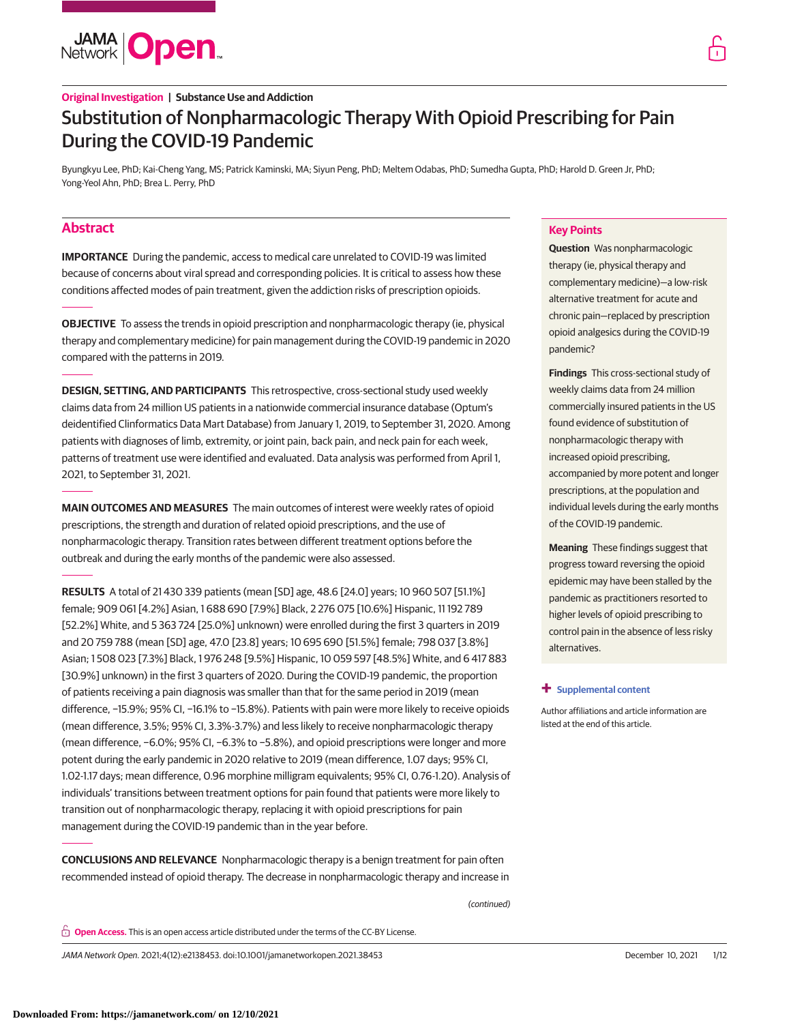

# **Original Investigation | Substance Use and Addiction** Substitution of Nonpharmacologic Therapy With Opioid Prescribing for Pain During the COVID-19 Pandemic

Byungkyu Lee, PhD; Kai-Cheng Yang, MS; Patrick Kaminski, MA; Siyun Peng, PhD; Meltem Odabas, PhD; Sumedha Gupta, PhD; Harold D. Green Jr, PhD; Yong-Yeol Ahn, PhD; Brea L. Perry, PhD

# **Abstract**

**IMPORTANCE** During the pandemic, access to medical care unrelated to COVID-19 was limited because of concerns about viral spread and corresponding policies. It is critical to assess how these conditions affected modes of pain treatment, given the addiction risks of prescription opioids.

**OBJECTIVE** To assess the trends in opioid prescription and nonpharmacologic therapy (ie, physical therapy and complementary medicine) for pain management during the COVID-19 pandemic in 2020 compared with the patterns in 2019.

**DESIGN, SETTING, AND PARTICIPANTS** This retrospective, cross-sectional study used weekly claims data from 24 million US patients in a nationwide commercial insurance database (Optum's deidentified Clinformatics Data Mart Database) from January 1, 2019, to September 31, 2020. Among patients with diagnoses of limb, extremity, or joint pain, back pain, and neck pain for each week, patterns of treatment use were identified and evaluated. Data analysis was performed from April 1, 2021, to September 31, 2021.

**MAIN OUTCOMES AND MEASURES** The main outcomes of interest were weekly rates of opioid prescriptions, the strength and duration of related opioid prescriptions, and the use of nonpharmacologic therapy. Transition rates between different treatment options before the outbreak and during the early months of the pandemic were also assessed.

**RESULTS** A total of 21 430 339 patients (mean [SD] age, 48.6 [24.0] years; 10 960 507 [51.1%] female; 909 061 [4.2%] Asian, 1 688 690 [7.9%] Black, 2 276 075 [10.6%] Hispanic, 11 192 789 [52.2%] White, and 5 363 724 [25.0%] unknown) were enrolled during the first 3 quarters in 2019 and 20 759 788 (mean [SD] age, 47.0 [23.8] years; 10 695 690 [51.5%] female; 798 037 [3.8%] Asian; 1 508 023 [7.3%] Black, 1 976 248 [9.5%] Hispanic, 10 059 597 [48.5%] White, and 6 417 883 [30.9%] unknown) in the first 3 quarters of 2020. During the COVID-19 pandemic, the proportion of patients receiving a pain diagnosis was smaller than that for the same period in 2019 (mean difference, −15.9%; 95% CI, −16.1% to −15.8%). Patients with pain were more likely to receive opioids (mean difference, 3.5%; 95% CI, 3.3%-3.7%) and less likely to receive nonpharmacologic therapy (mean difference, −6.0%; 95% CI, −6.3% to −5.8%), and opioid prescriptions were longer and more potent during the early pandemic in 2020 relative to 2019 (mean difference, 1.07 days; 95% CI, 1.02-1.17 days; mean difference, 0.96 morphine milligram equivalents; 95% CI, 0.76-1.20). Analysis of individuals' transitions between treatment options for pain found that patients were more likely to transition out of nonpharmacologic therapy, replacing it with opioid prescriptions for pain management during the COVID-19 pandemic than in the year before.

**CONCLUSIONS AND RELEVANCE** Nonpharmacologic therapy is a benign treatment for pain often recommended instead of opioid therapy. The decrease in nonpharmacologic therapy and increase in

(continued)

**Key Points**

**Question** Was nonpharmacologic therapy (ie, physical therapy and complementary medicine)—a low-risk alternative treatment for acute and chronic pain—replaced by prescription opioid analgesics during the COVID-19 pandemic?

**Findings** This cross-sectional study of weekly claims data from 24 million commercially insured patients in the US found evidence of substitution of nonpharmacologic therapy with increased opioid prescribing, accompanied by more potent and longer prescriptions, at the population and individual levels during the early months of the COVID-19 pandemic.

**Meaning** These findings suggest that progress toward reversing the opioid epidemic may have been stalled by the pandemic as practitioners resorted to higher levels of opioid prescribing to control pain in the absence of less risky alternatives.

# **+ [Supplemental content](https://jama.jamanetwork.com/article.aspx?doi=10.1001/jamanetworkopen.2021.38453&utm_campaign=articlePDF%26utm_medium=articlePDFlink%26utm_source=articlePDF%26utm_content=jamanetworkopen.2021.38453)**

Author affiliations and article information are listed at the end of this article.

**Open Access.** This is an open access article distributed under the terms of the CC-BY License.

JAMA Network Open. 2021;4(12):e2138453. doi:10.1001/jamanetworkopen.2021.38453 (Reprinted) December 10, 2021 1/12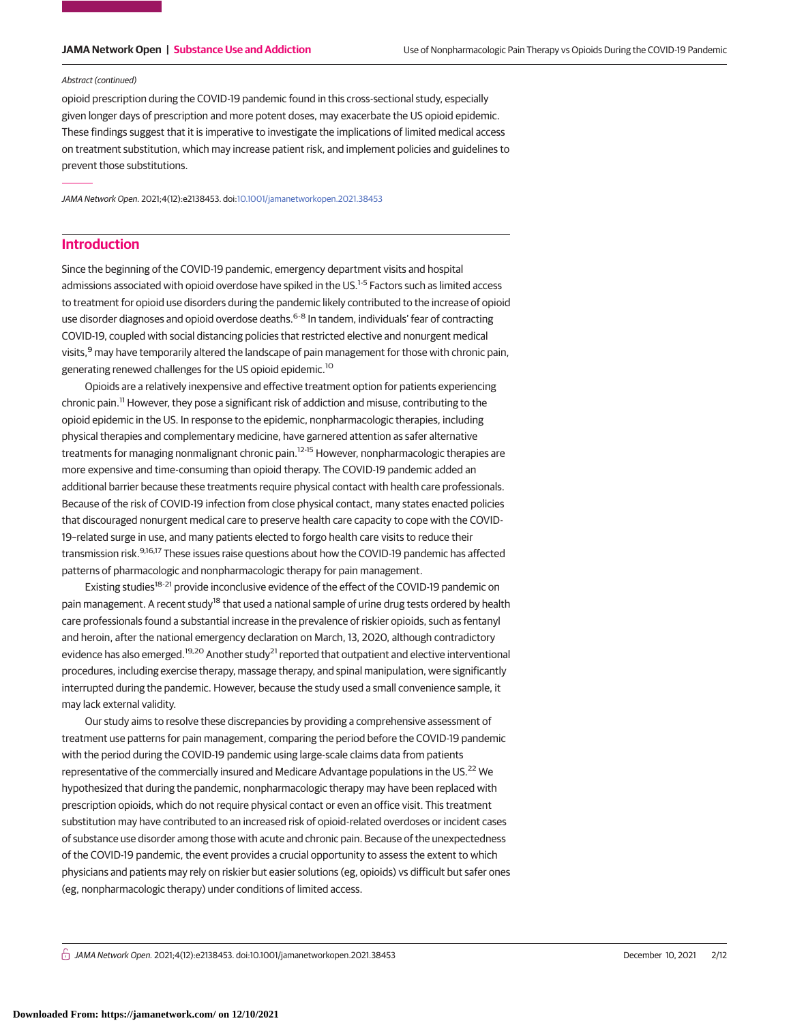### Abstract (continued)

opioid prescription during the COVID-19 pandemic found in this cross-sectional study, especially given longer days of prescription and more potent doses, may exacerbate the US opioid epidemic. These findings suggest that it is imperative to investigate the implications of limited medical access on treatment substitution, which may increase patient risk, and implement policies and guidelines to prevent those substitutions.

JAMA Network Open. 2021;4(12):e2138453. doi[:10.1001/jamanetworkopen.2021.38453](https://jama.jamanetwork.com/article.aspx?doi=10.1001/jamanetworkopen.2021.38453&utm_campaign=articlePDF%26utm_medium=articlePDFlink%26utm_source=articlePDF%26utm_content=jamanetworkopen.2021.38453)

# **Introduction**

Since the beginning of the COVID-19 pandemic, emergency department visits and hospital admissions associated with opioid overdose have spiked in the US.<sup>1-5</sup> Factors such as limited access to treatment for opioid use disorders during the pandemic likely contributed to the increase of opioid use disorder diagnoses and opioid overdose deaths.<sup>6-8</sup> In tandem, individuals' fear of contracting COVID-19, coupled with social distancing policies that restricted elective and nonurgent medical visits,<sup>9</sup> may have temporarily altered the landscape of pain management for those with chronic pain, generating renewed challenges for the US opioid epidemic.<sup>10</sup>

Opioids are a relatively inexpensive and effective treatment option for patients experiencing chronic pain.11 However, they pose a significant risk of addiction and misuse, contributing to the opioid epidemic in the US. In response to the epidemic, nonpharmacologic therapies, including physical therapies and complementary medicine, have garnered attention as safer alternative treatments for managing nonmalignant chronic pain.<sup>12-15</sup> However, nonpharmacologic therapies are more expensive and time-consuming than opioid therapy. The COVID-19 pandemic added an additional barrier because these treatments require physical contact with health care professionals. Because of the risk of COVID-19 infection from close physical contact, many states enacted policies that discouraged nonurgent medical care to preserve health care capacity to cope with the COVID-19–related surge in use, and many patients elected to forgo health care visits to reduce their transmission risk.<sup>9,16,17</sup> These issues raise questions about how the COVID-19 pandemic has affected patterns of pharmacologic and nonpharmacologic therapy for pain management.

Existing studies<sup>18-21</sup> provide inconclusive evidence of the effect of the COVID-19 pandemic on pain management. A recent study<sup>18</sup> that used a national sample of urine drug tests ordered by health care professionals found a substantial increase in the prevalence of riskier opioids, such as fentanyl and heroin, after the national emergency declaration on March, 13, 2020, although contradictory evidence has also emerged.<sup>19,20</sup> Another study<sup>21</sup> reported that outpatient and elective interventional procedures, including exercise therapy, massage therapy, and spinal manipulation, were significantly interrupted during the pandemic. However, because the study used a small convenience sample, it may lack external validity.

Our study aims to resolve these discrepancies by providing a comprehensive assessment of treatment use patterns for pain management, comparing the period before the COVID-19 pandemic with the period during the COVID-19 pandemic using large-scale claims data from patients representative of the commercially insured and Medicare Advantage populations in the US.<sup>22</sup> We hypothesized that during the pandemic, nonpharmacologic therapy may have been replaced with prescription opioids, which do not require physical contact or even an office visit. This treatment substitution may have contributed to an increased risk of opioid-related overdoses or incident cases of substance use disorder among those with acute and chronic pain. Because of the unexpectedness of the COVID-19 pandemic, the event provides a crucial opportunity to assess the extent to which physicians and patients may rely on riskier but easier solutions (eg, opioids) vs difficult but safer ones (eg, nonpharmacologic therapy) under conditions of limited access.

 $\frac{1}{11}$  JAMA Network Open. 2021;4(12):e2138453. doi:10.1001/jamanetworkopen.2021.38453 (Reprinted at a second by December 10, 2021 2/12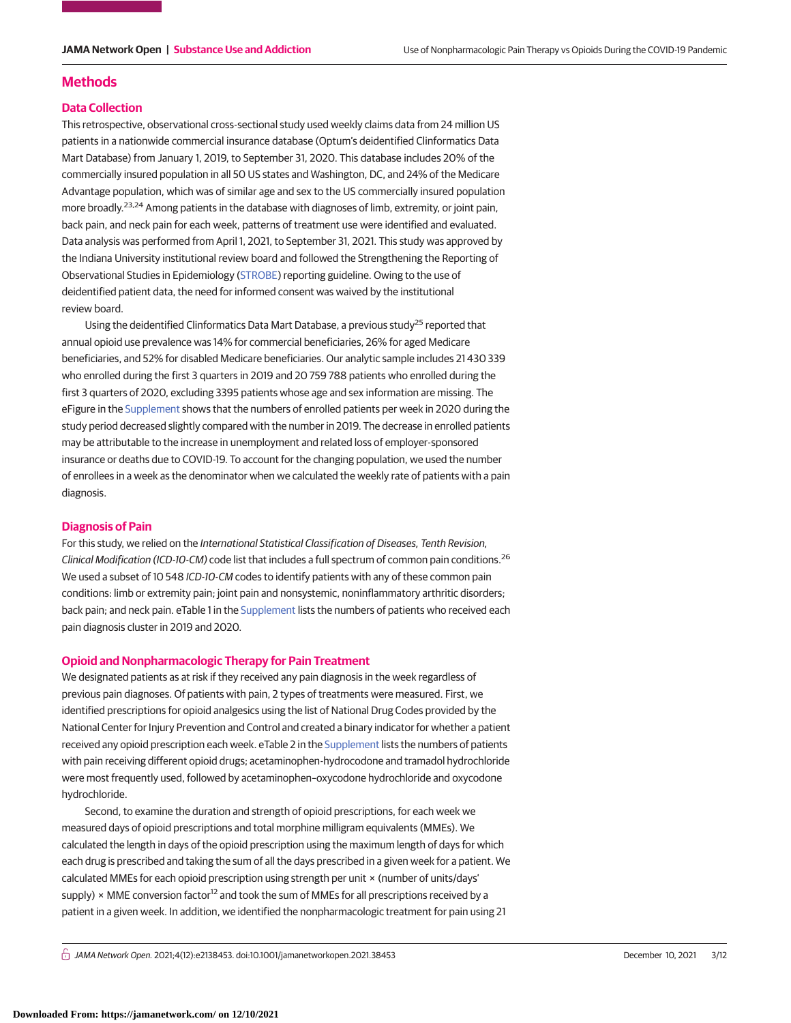# **Methods**

## **Data Collection**

This retrospective, observational cross-sectional study used weekly claims data from 24 million US patients in a nationwide commercial insurance database (Optum's deidentified Clinformatics Data Mart Database) from January 1, 2019, to September 31, 2020. This database includes 20% of the commercially insured population in all 50 US states and Washington, DC, and 24% of the Medicare Advantage population, which was of similar age and sex to the US commercially insured population more broadly.<sup>23,24</sup> Among patients in the database with diagnoses of limb, extremity, or joint pain, back pain, and neck pain for each week, patterns of treatment use were identified and evaluated. Data analysis was performed from April 1, 2021, to September 31, 2021. This study was approved by the Indiana University institutional review board and followed the Strengthening the Reporting of Observational Studies in Epidemiology [\(STROBE\)](http://www.equator-network.org/reporting-guidelines/strobe/) reporting guideline. Owing to the use of deidentified patient data, the need for informed consent was waived by the institutional review board.

Using the deidentified Clinformatics Data Mart Database, a previous study<sup>25</sup> reported that annual opioid use prevalence was 14% for commercial beneficiaries, 26% for aged Medicare beneficiaries, and 52% for disabled Medicare beneficiaries. Our analytic sample includes 21 430 339 who enrolled during the first 3 quarters in 2019 and 20 759 788 patients who enrolled during the first 3 quarters of 2020, excluding 3395 patients whose age and sex information are missing. The eFigure in the [Supplement](https://jama.jamanetwork.com/article.aspx?doi=10.1001/jamanetworkopen.2021.38453&utm_campaign=articlePDF%26utm_medium=articlePDFlink%26utm_source=articlePDF%26utm_content=jamanetworkopen.2021.38453) shows that the numbers of enrolled patients per week in 2020 during the study period decreased slightly compared with the number in 2019. The decrease in enrolled patients may be attributable to the increase in unemployment and related loss of employer-sponsored insurance or deaths due to COVID-19. To account for the changing population, we used the number of enrollees in a week as the denominator when we calculated the weekly rate of patients with a pain diagnosis.

# **Diagnosis of Pain**

For this study, we relied on the International Statistical Classification of Diseases, Tenth Revision, Clinical Modification (ICD-10-CM) code list that includes a full spectrum of common pain conditions.<sup>26</sup> We used a subset of 10 548 ICD-10-CM codes to identify patients with any of these common pain conditions: limb or extremity pain; joint pain and nonsystemic, noninflammatory arthritic disorders; back pain; and neck pain. eTable 1 in the [Supplement](https://jama.jamanetwork.com/article.aspx?doi=10.1001/jamanetworkopen.2021.38453&utm_campaign=articlePDF%26utm_medium=articlePDFlink%26utm_source=articlePDF%26utm_content=jamanetworkopen.2021.38453) lists the numbers of patients who received each pain diagnosis cluster in 2019 and 2020.

# **Opioid and Nonpharmacologic Therapy for Pain Treatment**

We designated patients as at risk if they received any pain diagnosis in the week regardless of previous pain diagnoses. Of patients with pain, 2 types of treatments were measured. First, we identified prescriptions for opioid analgesics using the list of National Drug Codes provided by the National Center for Injury Prevention and Control and created a binary indicator for whether a patient received any opioid prescription each week. eTable 2 in the [Supplement](https://jama.jamanetwork.com/article.aspx?doi=10.1001/jamanetworkopen.2021.38453&utm_campaign=articlePDF%26utm_medium=articlePDFlink%26utm_source=articlePDF%26utm_content=jamanetworkopen.2021.38453) lists the numbers of patients with pain receiving different opioid drugs; acetaminophen-hydrocodone and tramadol hydrochloride were most frequently used, followed by acetaminophen–oxycodone hydrochloride and oxycodone hydrochloride.

Second, to examine the duration and strength of opioid prescriptions, for each week we measured days of opioid prescriptions and total morphine milligram equivalents (MMEs). We calculated the length in days of the opioid prescription using the maximum length of days for which each drug is prescribed and taking the sum of all the days prescribed in a given week for a patient. We calculated MMEs for each opioid prescription using strength per unit × (number of units/days' supply) × MME conversion factor<sup>12</sup> and took the sum of MMEs for all prescriptions received by a patient in a given week. In addition, we identified the nonpharmacologic treatment for pain using 21

 $\bigcap$  JAMA Network Open. 2021;4(12):e2138453. doi:10.1001/jamanetworkopen.2021.38453 (Reprinted) December 10, 2021 3/12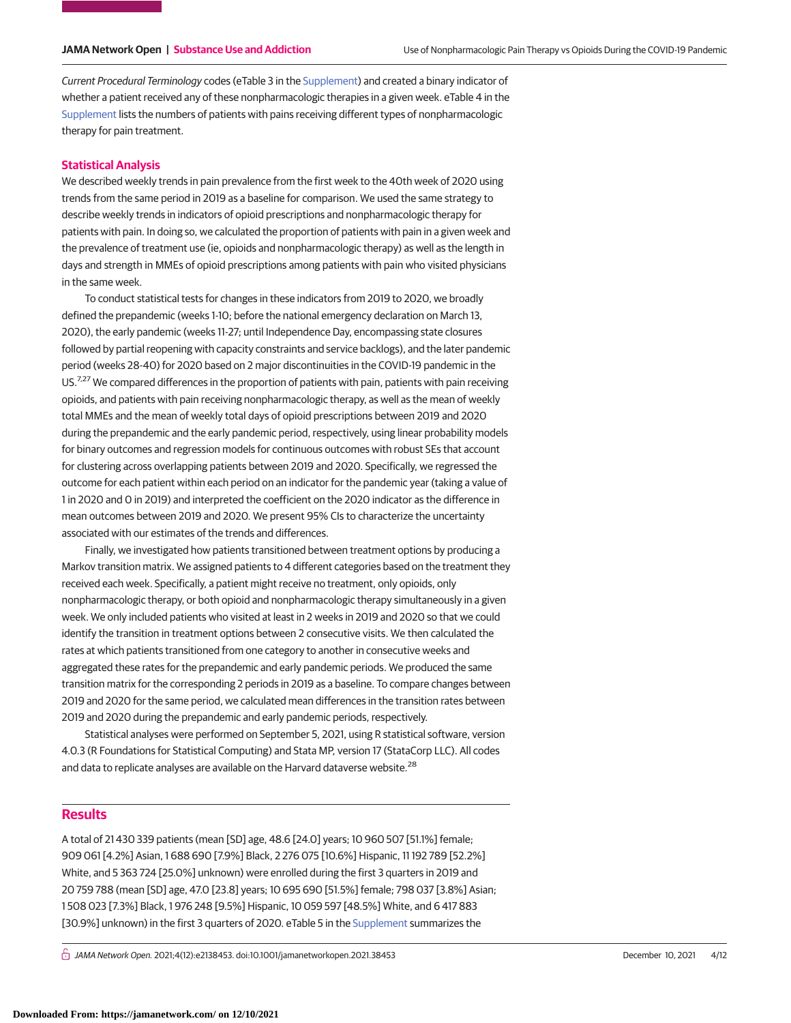Current Procedural Terminology codes (eTable 3 in the [Supplement\)](https://jama.jamanetwork.com/article.aspx?doi=10.1001/jamanetworkopen.2021.38453&utm_campaign=articlePDF%26utm_medium=articlePDFlink%26utm_source=articlePDF%26utm_content=jamanetworkopen.2021.38453) and created a binary indicator of whether a patient received any of these nonpharmacologic therapies in a given week. eTable 4 in the [Supplement](https://jama.jamanetwork.com/article.aspx?doi=10.1001/jamanetworkopen.2021.38453&utm_campaign=articlePDF%26utm_medium=articlePDFlink%26utm_source=articlePDF%26utm_content=jamanetworkopen.2021.38453) lists the numbers of patients with pains receiving different types of nonpharmacologic therapy for pain treatment.

# **Statistical Analysis**

We described weekly trends in pain prevalence from the first week to the 40th week of 2020 using trends from the same period in 2019 as a baseline for comparison. We used the same strategy to describe weekly trends in indicators of opioid prescriptions and nonpharmacologic therapy for patients with pain. In doing so, we calculated the proportion of patients with pain in a given week and the prevalence of treatment use (ie, opioids and nonpharmacologic therapy) as well as the length in days and strength in MMEs of opioid prescriptions among patients with pain who visited physicians in the same week.

To conduct statistical tests for changes in these indicators from 2019 to 2020, we broadly defined the prepandemic (weeks 1-10; before the national emergency declaration on March 13, 2020), the early pandemic (weeks 11-27; until Independence Day, encompassing state closures followed by partial reopening with capacity constraints and service backlogs), and the later pandemic period (weeks 28-40) for 2020 based on 2 major discontinuities in the COVID-19 pandemic in the US.<sup>7,27</sup> We compared differences in the proportion of patients with pain, patients with pain receiving opioids, and patients with pain receiving nonpharmacologic therapy, as well as the mean of weekly total MMEs and the mean of weekly total days of opioid prescriptions between 2019 and 2020 during the prepandemic and the early pandemic period, respectively, using linear probability models for binary outcomes and regression models for continuous outcomes with robust SEs that account for clustering across overlapping patients between 2019 and 2020. Specifically, we regressed the outcome for each patient within each period on an indicator for the pandemic year (taking a value of 1 in 2020 and 0 in 2019) and interpreted the coefficient on the 2020 indicator as the difference in mean outcomes between 2019 and 2020. We present 95% CIs to characterize the uncertainty associated with our estimates of the trends and differences.

Finally, we investigated how patients transitioned between treatment options by producing a Markov transition matrix. We assigned patients to 4 different categories based on the treatment they received each week. Specifically, a patient might receive no treatment, only opioids, only nonpharmacologic therapy, or both opioid and nonpharmacologic therapy simultaneously in a given week. We only included patients who visited at least in 2 weeks in 2019 and 2020 so that we could identify the transition in treatment options between 2 consecutive visits. We then calculated the rates at which patients transitioned from one category to another in consecutive weeks and aggregated these rates for the prepandemic and early pandemic periods. We produced the same transition matrix for the corresponding 2 periods in 2019 as a baseline. To compare changes between 2019 and 2020 for the same period, we calculated mean differences in the transition rates between 2019 and 2020 during the prepandemic and early pandemic periods, respectively.

Statistical analyses were performed on September 5, 2021, using R statistical software, version 4.0.3 (R Foundations for Statistical Computing) and Stata MP, version 17 (StataCorp LLC). All codes and data to replicate analyses are available on the Harvard dataverse website.<sup>28</sup>

# **Results**

A total of 21 430 339 patients (mean [SD] age, 48.6 [24.0] years; 10 960 507 [51.1%] female; 909 061 [4.2%] Asian, 1 688 690 [7.9%] Black, 2 276 075 [10.6%] Hispanic, 11 192 789 [52.2%] White, and 5 363 724 [25.0%] unknown) were enrolled during the first 3 quarters in 2019 and 20 759 788 (mean [SD] age, 47.0 [23.8] years; 10 695 690 [51.5%] female; 798 037 [3.8%] Asian; 1 508 023 [7.3%] Black, 1 976 248 [9.5%] Hispanic, 10 059 597 [48.5%] White, and 6 417 883 [30.9%] unknown) in the first 3 quarters of 2020. eTable 5 in the [Supplement](https://jama.jamanetwork.com/article.aspx?doi=10.1001/jamanetworkopen.2021.38453&utm_campaign=articlePDF%26utm_medium=articlePDFlink%26utm_source=articlePDF%26utm_content=jamanetworkopen.2021.38453) summarizes the

 $\bigcap$  JAMA Network Open. 2021;4(12):e2138453. doi:10.1001/jamanetworkopen.2021.38453 (Reprinted) December 10, 2021 4/12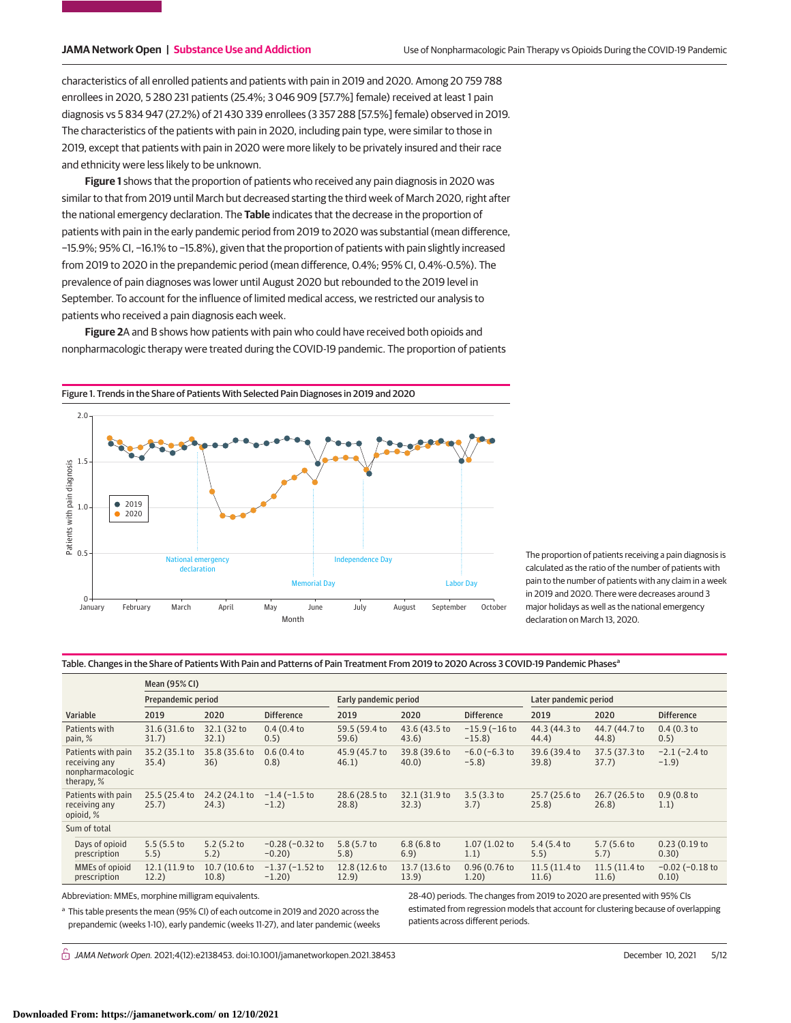characteristics of all enrolled patients and patients with pain in 2019 and 2020. Among 20 759 788 enrollees in 2020, 5 280 231 patients (25.4%; 3 046 909 [57.7%] female) received at least 1 pain diagnosis vs 5 834 947 (27.2%) of 21 430 339 enrollees (3 357 288 [57.5%] female) observed in 2019. The characteristics of the patients with pain in 2020, including pain type, were similar to those in 2019, except that patients with pain in 2020 were more likely to be privately insured and their race and ethnicity were less likely to be unknown.

**Figure 1** shows that the proportion of patients who received any pain diagnosis in 2020 was similar to that from 2019 until March but decreased starting the third week of March 2020, right after the national emergency declaration. The **Table** indicates that the decrease in the proportion of patients with pain in the early pandemic period from 2019 to 2020 was substantial (mean difference, −15.9%; 95% CI, −16.1% to −15.8%), given that the proportion of patients with pain slightly increased from 2019 to 2020 in the prepandemic period (mean difference, 0.4%; 95% CI, 0.4%-0.5%). The prevalence of pain diagnoses was lower until August 2020 but rebounded to the 2019 level in September. To account for the influence of limited medical access, we restricted our analysis to patients who received a pain diagnosis each week.

**Figure 2**A and B shows how patients with pain who could have received both opioids and nonpharmacologic therapy were treated during the COVID-19 pandemic. The proportion of patients

> Labor Day The proportion of patients receiving a pain diagnosis is calculated as the ratio of the number of patients with pain to the number of patients with any claim in a week in 2019 and 2020. There were decreases around 3 major holidays as well as the national emergency declaration on March 13, 2020.

Figure 1. Trends in the Share of Patients With Selected Pain Diagnoses in 2019 and 2020



| Mean (95% CI)                  |                      |                       |               |                    |                       |               |                      |
|--------------------------------|----------------------|-----------------------|---------------|--------------------|-----------------------|---------------|----------------------|
| Prepandemic period             |                      | Early pandemic period |               |                    | Later pandemic period |               |                      |
| 2020                           | <b>Difference</b>    | 2019                  | 2020          | <b>Difference</b>  | 2019                  | 2020          | <b>Difference</b>    |
| 32.1 (32 to                    | 0.4(0.4)             | 59.5 (59.4 to         | 43.6 (43.5 to | $-15.9$ ( $-16$ to | 44.3 (44.3 to         | 44.7 (44.7 to | 0.4(0.3)             |
| 32.1)                          | 0.5)                 | 59.6)                 | 43.6)         | $-15.8$            | 44.4)                 | 44.8)         | 0.5)                 |
| 35.8 (35.6 to                  | 0.6(0.4)             | 45.9 (45.7 to         | 39.8 (39.6 to | $-6.0$ ( $-6.3$ to | 39.6 (39.4 to         | 37.5 (37.3 to | $-2.1$ ( $-2.4$ to   |
| 36)                            | (0.8)                | 46.1)                 | 40.0          | $-5.8$             | 39.8)                 | 37.7)         | $-1.9$               |
| 24.2 (24.1 to                  | $-1.4$ ( $-1.5$ to   | 28.6 (28.5 to         | 32.1 (31.9 to | 3.5(3.3)           | 25.7 (25.6 to         | 26.7 (26.5 to | 0.9(0.8)             |
| 24.3)                          | $-1.2)$              | 28.8)                 | 32.3)         | 3.7)               | 25.8)                 | 26.8)         | 1.1)                 |
|                                |                      |                       |               |                    |                       |               |                      |
| 5.2(5.2)                       | $-0.28$ ( $-0.32$ to | 5.8 (5.7 to           | 6.8(6.8)      | 1.07 (1.02 to      | 5.4(5.4)              | 5.7(5.6)      | 0.23(0.19)           |
| 5.2)                           | $-0.20$              | 5.8)                  | 6.9)          | 1.1)               | 5.5)                  | 5.7)          | 0.30)                |
| 10.7 (10.6 to                  | $-1.37$ ( $-1.52$ to | 12.8 (12.6 to         | 13.7 (13.6 to | 0.96 (0.76 to      | 11.5 (11.4 to         | 11.5 (11.4 to | $-0.02$ ( $-0.18$ to |
| 10.8)                          | $-1.20$              | 12.9)                 | 13.9)         | 1.20)              | 11.6)                 | 11.6)         | 0.10)                |
| 31.6 (31.6 to<br>12.1 (11.9 to |                      |                       |               |                    |                       |               |                      |

Abbreviation: MMEs, morphine milligram equivalents.

<sup>a</sup> This table presents the mean (95% CI) of each outcome in 2019 and 2020 across the prepandemic (weeks 1-10), early pandemic (weeks 11-27), and later pandemic (weeks 28-40) periods. The changes from 2019 to 2020 are presented with 95% CIs estimated from regression models that account for clustering because of overlapping patients across different periods.

 $\bigcap$  JAMA Network Open. 2021;4(12):e2138453. doi:10.1001/jamanetworkopen.2021.38453 (Reprinted) December 10, 2021 5/12

2.0 1.5 Patients with pain diagnosis Patients with pain diagnosis  $• 2019$ 1.0 2020  $0.5$ Independence Day National emergency declaration rial Day — → 0<br>January January February March April May June July August September October Month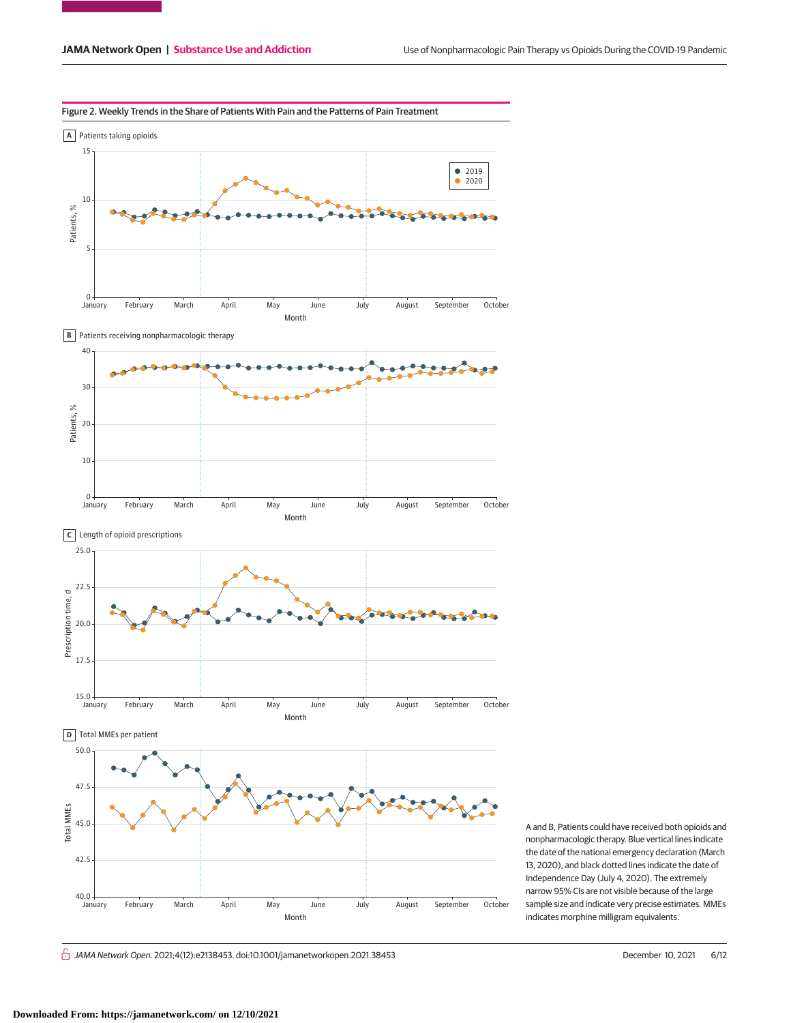

A and B, Patients could have received both opioids and nonpharmacologic therapy. Blue vertical lines indicate the date of the national emergency declaration (March 13, 2020), and black dotted lines indicate the date of Independence Day (July 4, 2020). The extremely narrow 95% CIs are not visible because of the large sample size and indicate very precise estimates. MMEs indicates morphine milligram equivalents.

 $\bigcap$  JAMA Network Open. 2021;4(12):e2138453. doi:10.1001/jamanetworkopen.2021.38453 (Reprinted) December 10, 2021 6/12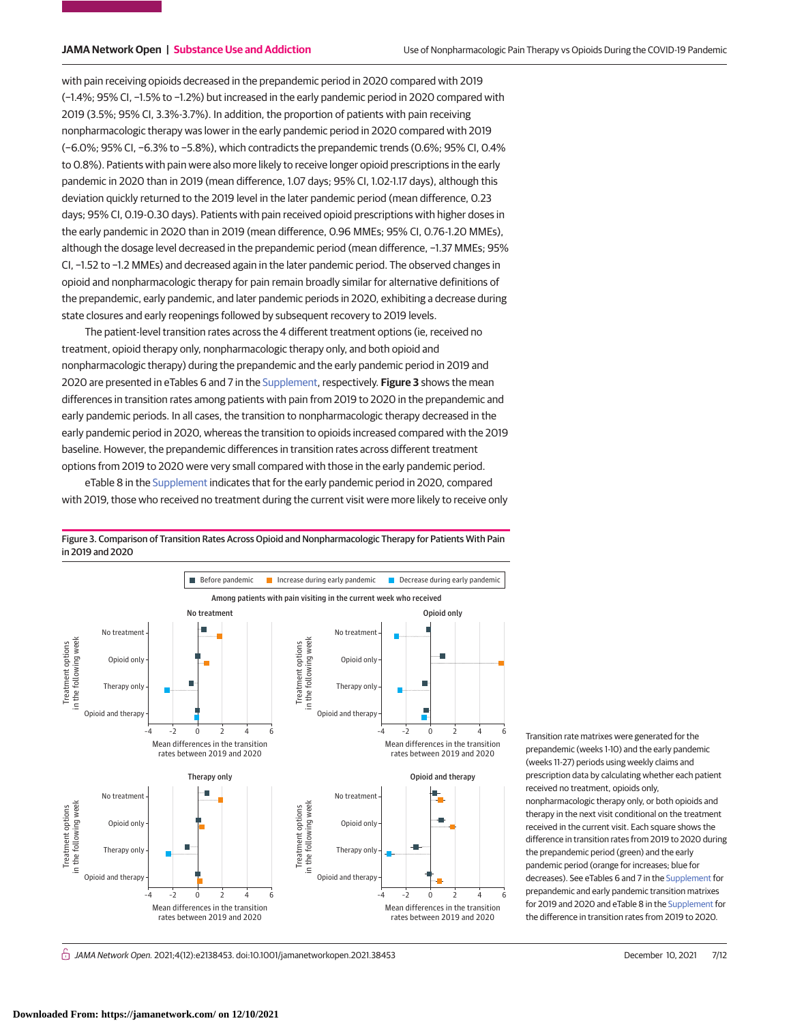with pain receiving opioids decreased in the prepandemic period in 2020 compared with 2019 (−1.4%; 95% CI, −1.5% to −1.2%) but increased in the early pandemic period in 2020 compared with 2019 (3.5%; 95% CI, 3.3%-3.7%). In addition, the proportion of patients with pain receiving nonpharmacologic therapy was lower in the early pandemic period in 2020 compared with 2019 (−6.0%; 95% CI, −6.3% to −5.8%), which contradicts the prepandemic trends (0.6%; 95% CI, 0.4% to 0.8%). Patients with pain were also more likely to receive longer opioid prescriptions in the early pandemic in 2020 than in 2019 (mean difference, 1.07 days; 95% CI, 1.02-1.17 days), although this deviation quickly returned to the 2019 level in the later pandemic period (mean difference, 0.23 days; 95% CI, 0.19-0.30 days). Patients with pain received opioid prescriptions with higher doses in the early pandemic in 2020 than in 2019 (mean difference, 0.96 MMEs; 95% CI, 0.76-1.20 MMEs), although the dosage level decreased in the prepandemic period (mean difference, −1.37 MMEs; 95% CI, −1.52 to −1.2 MMEs) and decreased again in the later pandemic period. The observed changes in opioid and nonpharmacologic therapy for pain remain broadly similar for alternative definitions of the prepandemic, early pandemic, and later pandemic periods in 2020, exhibiting a decrease during state closures and early reopenings followed by subsequent recovery to 2019 levels.

The patient-level transition rates across the 4 different treatment options (ie, received no treatment, opioid therapy only, nonpharmacologic therapy only, and both opioid and nonpharmacologic therapy) during the prepandemic and the early pandemic period in 2019 and 2020 are presented in eTables 6 and 7 in the [Supplement,](https://jama.jamanetwork.com/article.aspx?doi=10.1001/jamanetworkopen.2021.38453&utm_campaign=articlePDF%26utm_medium=articlePDFlink%26utm_source=articlePDF%26utm_content=jamanetworkopen.2021.38453) respectively. **Figure 3** shows the mean differences in transition rates among patients with pain from 2019 to 2020 in the prepandemic and early pandemic periods. In all cases, the transition to nonpharmacologic therapy decreased in the early pandemic period in 2020, whereas the transition to opioids increased compared with the 2019 baseline. However, the prepandemic differences in transition rates across different treatment options from 2019 to 2020 were very small compared with those in the early pandemic period.

eTable 8 in the [Supplement](https://jama.jamanetwork.com/article.aspx?doi=10.1001/jamanetworkopen.2021.38453&utm_campaign=articlePDF%26utm_medium=articlePDFlink%26utm_source=articlePDF%26utm_content=jamanetworkopen.2021.38453) indicates that for the early pandemic period in 2020, compared with 2019, those who received no treatment during the current visit were more likely to receive only



Figure 3. Comparison of Transition Rates Across Opioid and Nonpharmacologic Therapy for Patients With Pain in 2019 and 2020

> (weeks 11-27) periods using weekly claims and prescription data by calculating whether each patient received no treatment, opioids only, nonpharmacologic therapy only, or both opioids and therapy in the next visit conditional on the treatment received in the current visit. Each square shows the difference in transition rates from 2019 to 2020 during the prepandemic period (green) and the early pandemic period (orange for increases; blue for decreases). See eTables 6 and 7 in the [Supplement](https://jama.jamanetwork.com/article.aspx?doi=10.1001/jamanetworkopen.2021.38453&utm_campaign=articlePDF%26utm_medium=articlePDFlink%26utm_source=articlePDF%26utm_content=jamanetworkopen.2021.38453) for prepandemic and early pandemic transition matrixes for 2019 and 2020 and eTable 8 in the [Supplement](https://jama.jamanetwork.com/article.aspx?doi=10.1001/jamanetworkopen.2021.38453&utm_campaign=articlePDF%26utm_medium=articlePDFlink%26utm_source=articlePDF%26utm_content=jamanetworkopen.2021.38453) for the difference in transition rates from 2019 to 2020.

Transition rate matrixes were generated for the prepandemic (weeks 1-10) and the early pandemic

 $\bigcap$  JAMA Network Open. 2021;4(12):e2138453. doi:10.1001/jamanetworkopen.2021.38453 (Reprinted) December 10, 2021 7/12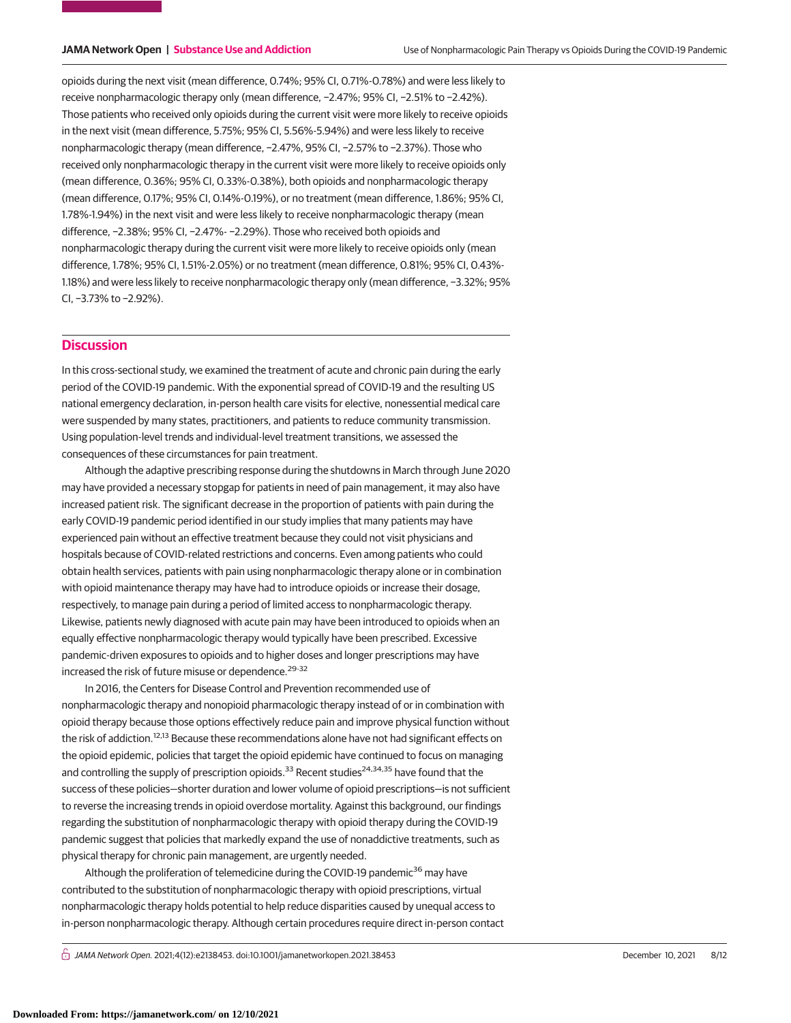opioids during the next visit (mean difference, 0.74%; 95% CI, 0.71%-0.78%) and were less likely to receive nonpharmacologic therapy only (mean difference, −2.47%; 95% CI, −2.51% to −2.42%). Those patients who received only opioids during the current visit were more likely to receive opioids in the next visit (mean difference, 5.75%; 95% CI, 5.56%-5.94%) and were less likely to receive nonpharmacologic therapy (mean difference, −2.47%, 95% CI, −2.57% to −2.37%). Those who received only nonpharmacologic therapy in the current visit were more likely to receive opioids only (mean difference, 0.36%; 95% CI, 0.33%-0.38%), both opioids and nonpharmacologic therapy (mean difference, 0.17%; 95% CI, 0.14%-0.19%), or no treatment (mean difference, 1.86%; 95% CI, 1.78%-1.94%) in the next visit and were less likely to receive nonpharmacologic therapy (mean difference, −2.38%; 95% CI, −2.47%- −2.29%). Those who received both opioids and nonpharmacologic therapy during the current visit were more likely to receive opioids only (mean difference, 1.78%; 95% CI, 1.51%-2.05%) or no treatment (mean difference, 0.81%; 95% CI, 0.43%- 1.18%) and were less likely to receive nonpharmacologic therapy only (mean difference, −3.32%; 95% CI, −3.73% to −2.92%).

# **Discussion**

In this cross-sectional study, we examined the treatment of acute and chronic pain during the early period of the COVID-19 pandemic. With the exponential spread of COVID-19 and the resulting US national emergency declaration, in-person health care visits for elective, nonessential medical care were suspended by many states, practitioners, and patients to reduce community transmission. Using population-level trends and individual-level treatment transitions, we assessed the consequences of these circumstances for pain treatment.

Although the adaptive prescribing response during the shutdowns in March through June 2020 may have provided a necessary stopgap for patients in need of pain management, it may also have increased patient risk. The significant decrease in the proportion of patients with pain during the early COVID-19 pandemic period identified in our study implies that many patients may have experienced pain without an effective treatment because they could not visit physicians and hospitals because of COVID-related restrictions and concerns. Even among patients who could obtain health services, patients with pain using nonpharmacologic therapy alone or in combination with opioid maintenance therapy may have had to introduce opioids or increase their dosage, respectively, to manage pain during a period of limited access to nonpharmacologic therapy. Likewise, patients newly diagnosed with acute pain may have been introduced to opioids when an equally effective nonpharmacologic therapy would typically have been prescribed. Excessive pandemic-driven exposures to opioids and to higher doses and longer prescriptions may have increased the risk of future misuse or dependence.<sup>29-32</sup>

In 2016, the Centers for Disease Control and Prevention recommended use of nonpharmacologic therapy and nonopioid pharmacologic therapy instead of or in combination with opioid therapy because those options effectively reduce pain and improve physical function without the risk of addiction.<sup>12,13</sup> Because these recommendations alone have not had significant effects on the opioid epidemic, policies that target the opioid epidemic have continued to focus on managing and controlling the supply of prescription opioids.<sup>33</sup> Recent studies<sup>24,34,35</sup> have found that the success of these policies—shorter duration and lower volume of opioid prescriptions—is not sufficient to reverse the increasing trends in opioid overdose mortality. Against this background, our findings regarding the substitution of nonpharmacologic therapy with opioid therapy during the COVID-19 pandemic suggest that policies that markedly expand the use of nonaddictive treatments, such as physical therapy for chronic pain management, are urgently needed.

Although the proliferation of telemedicine during the COVID-19 pandemic $36$  may have contributed to the substitution of nonpharmacologic therapy with opioid prescriptions, virtual nonpharmacologic therapy holds potential to help reduce disparities caused by unequal access to in-person nonpharmacologic therapy. Although certain procedures require direct in-person contact

 $\bigcap$  JAMA Network Open. 2021;4(12):e2138453. doi:10.1001/jamanetworkopen.2021.38453 (Reprinted) December 10, 2021 8/12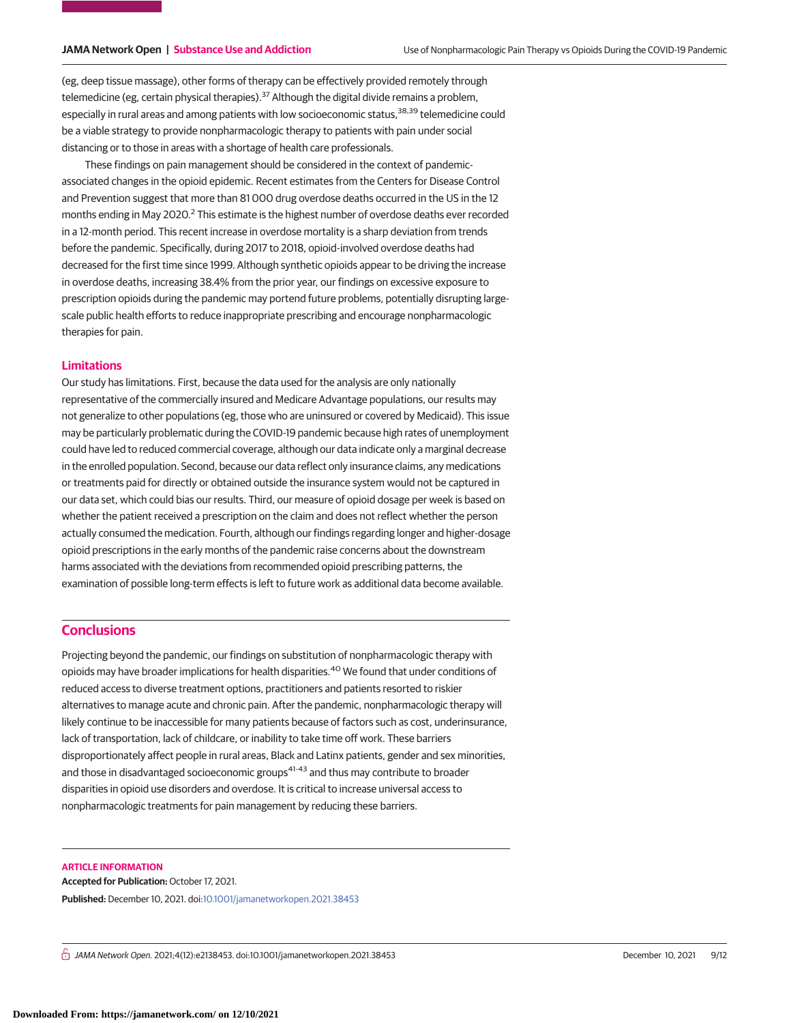(eg, deep tissue massage), other forms of therapy can be effectively provided remotely through telemedicine (eg, certain physical therapies).<sup>37</sup> Although the digital divide remains a problem, especially in rural areas and among patients with low socioeconomic status,<sup>38,39</sup> telemedicine could be a viable strategy to provide nonpharmacologic therapy to patients with pain under social distancing or to those in areas with a shortage of health care professionals.

These findings on pain management should be considered in the context of pandemicassociated changes in the opioid epidemic. Recent estimates from the Centers for Disease Control and Prevention suggest that more than 81 000 drug overdose deaths occurred in the US in the 12 months ending in May 2020.<sup>2</sup> This estimate is the highest number of overdose deaths ever recorded in a 12-month period. This recent increase in overdose mortality is a sharp deviation from trends before the pandemic. Specifically, during 2017 to 2018, opioid-involved overdose deaths had decreased for the first time since 1999. Although synthetic opioids appear to be driving the increase in overdose deaths, increasing 38.4% from the prior year, our findings on excessive exposure to prescription opioids during the pandemic may portend future problems, potentially disrupting largescale public health efforts to reduce inappropriate prescribing and encourage nonpharmacologic therapies for pain.

# **Limitations**

Our study has limitations. First, because the data used for the analysis are only nationally representative of the commercially insured and Medicare Advantage populations, our results may not generalize to other populations (eg, those who are uninsured or covered by Medicaid). This issue may be particularly problematic during the COVID-19 pandemic because high rates of unemployment could have led to reduced commercial coverage, although our data indicate only a marginal decrease in the enrolled population. Second, because our data reflect only insurance claims, any medications or treatments paid for directly or obtained outside the insurance system would not be captured in our data set, which could bias our results. Third, our measure of opioid dosage per week is based on whether the patient received a prescription on the claim and does not reflect whether the person actually consumed the medication. Fourth, although our findings regarding longer and higher-dosage opioid prescriptions in the early months of the pandemic raise concerns about the downstream harms associated with the deviations from recommended opioid prescribing patterns, the examination of possible long-term effects is left to future work as additional data become available.

# **Conclusions**

Projecting beyond the pandemic, our findings on substitution of nonpharmacologic therapy with opioids may have broader implications for health disparities.<sup>40</sup> We found that under conditions of reduced access to diverse treatment options, practitioners and patients resorted to riskier alternatives to manage acute and chronic pain. After the pandemic, nonpharmacologic therapy will likely continue to be inaccessible for many patients because of factors such as cost, underinsurance, lack of transportation, lack of childcare, or inability to take time off work. These barriers disproportionately affect people in rural areas, Black and Latinx patients, gender and sex minorities, and those in disadvantaged socioeconomic groups<sup>41-43</sup> and thus may contribute to broader disparities in opioid use disorders and overdose. It is critical to increase universal access to nonpharmacologic treatments for pain management by reducing these barriers.

### **ARTICLE INFORMATION**

**Accepted for Publication:** October 17, 2021. **Published:** December 10, 2021. doi[:10.1001/jamanetworkopen.2021.38453](https://jama.jamanetwork.com/article.aspx?doi=10.1001/jamanetworkopen.2021.38453&utm_campaign=articlePDF%26utm_medium=articlePDFlink%26utm_source=articlePDF%26utm_content=jamanetworkopen.2021.38453)

 $\bigcap$  JAMA Network Open. 2021;4(12):e2138453. doi:10.1001/jamanetworkopen.2021.38453 (Reprinted) December 10, 2021 9/12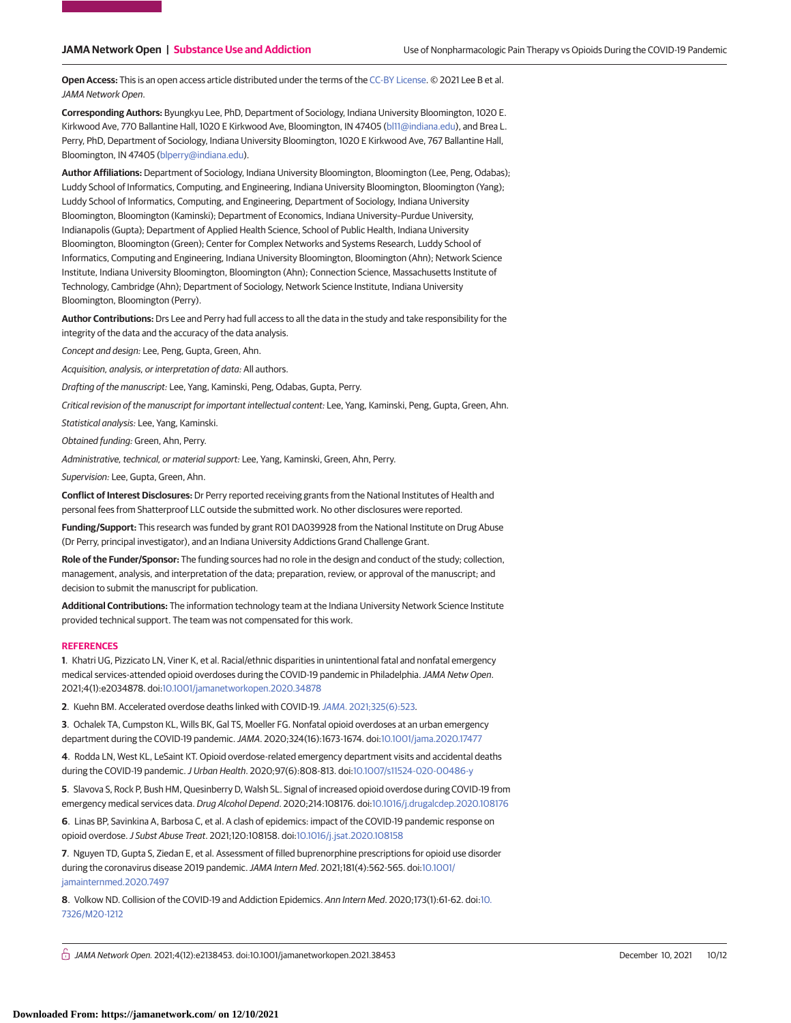**Open Access:** This is an open access article distributed under the terms of the [CC-BY License.](https://jamanetwork.com/pages/cc-by-license-permissions/?utm_campaign=articlePDF%26utm_medium=articlePDFlink%26utm_source=articlePDF%26utm_content=jamanetworkopen.2021.38453) © 2021 Lee B et al. JAMA Network Open.

**Corresponding Authors:** Byungkyu Lee, PhD, Department of Sociology, Indiana University Bloomington, 1020 E. Kirkwood Ave, 770 Ballantine Hall, 1020 E Kirkwood Ave, Bloomington, IN 47405 [\(bl11@indiana.edu\)](mailto:bl11@indiana.edu), and Brea L. Perry, PhD, Department of Sociology, Indiana University Bloomington, 1020 E Kirkwood Ave, 767 Ballantine Hall, Bloomington, IN 47405 [\(blperry@indiana.edu\)](mailto:blperry@indiana.edu).

**Author Affiliations:** Department of Sociology, Indiana University Bloomington, Bloomington (Lee, Peng, Odabas); Luddy School of Informatics, Computing, and Engineering, Indiana University Bloomington, Bloomington (Yang); Luddy School of Informatics, Computing, and Engineering, Department of Sociology, Indiana University Bloomington, Bloomington (Kaminski); Department of Economics, Indiana University–Purdue University, Indianapolis (Gupta); Department of Applied Health Science, School of Public Health, Indiana University Bloomington, Bloomington (Green); Center for Complex Networks and Systems Research, Luddy School of Informatics, Computing and Engineering, Indiana University Bloomington, Bloomington (Ahn); Network Science Institute, Indiana University Bloomington, Bloomington (Ahn); Connection Science, Massachusetts Institute of Technology, Cambridge (Ahn); Department of Sociology, Network Science Institute, Indiana University Bloomington, Bloomington (Perry).

**Author Contributions:** Drs Lee and Perry had full access to all the data in the study and take responsibility for the integrity of the data and the accuracy of the data analysis.

Concept and design: Lee, Peng, Gupta, Green, Ahn.

Acquisition, analysis, or interpretation of data: All authors.

Drafting of the manuscript: Lee, Yang, Kaminski, Peng, Odabas, Gupta, Perry.

Critical revision of the manuscript for important intellectual content: Lee, Yang, Kaminski, Peng, Gupta, Green, Ahn.

Statistical analysis: Lee, Yang, Kaminski.

Obtained funding: Green, Ahn, Perry.

Administrative, technical, or material support: Lee, Yang, Kaminski, Green, Ahn, Perry.

Supervision: Lee, Gupta, Green, Ahn.

**Conflict of Interest Disclosures:** Dr Perry reported receiving grants from the National Institutes of Health and personal fees from Shatterproof LLC outside the submitted work. No other disclosures were reported.

**Funding/Support:** This research was funded by grant R01 DA039928 from the National Institute on Drug Abuse (Dr Perry, principal investigator), and an Indiana University Addictions Grand Challenge Grant.

**Role of the Funder/Sponsor:** The funding sources had no role in the design and conduct of the study; collection, management, analysis, and interpretation of the data; preparation, review, or approval of the manuscript; and decision to submit the manuscript for publication.

**Additional Contributions:** The information technology team at the Indiana University Network Science Institute provided technical support. The team was not compensated for this work.

### **REFERENCES**

**1**. Khatri UG, Pizzicato LN, Viner K, et al. Racial/ethnic disparities in unintentional fatal and nonfatal emergency medical services-attended opioid overdoses during the COVID-19 pandemic in Philadelphia. JAMA Netw Open. 2021;4(1):e2034878. doi[:10.1001/jamanetworkopen.2020.34878](https://jama.jamanetwork.com/article.aspx?doi=10.1001/jamanetworkopen.2020.34878&utm_campaign=articlePDF%26utm_medium=articlePDFlink%26utm_source=articlePDF%26utm_content=jamanetworkopen.2021.38453)

**2**. Kuehn BM. Accelerated overdose deaths linked with COVID-19.JAMA[. 2021;325\(6\):523.](https://www.ncbi.nlm.nih.gov/pubmed/33560330)

**3**. Ochalek TA, Cumpston KL, Wills BK, Gal TS, Moeller FG. Nonfatal opioid overdoses at an urban emergency department during the COVID-19 pandemic.JAMA. 2020;324(16):1673-1674. doi[:10.1001/jama.2020.17477](https://jama.jamanetwork.com/article.aspx?doi=10.1001/jama.2020.17477&utm_campaign=articlePDF%26utm_medium=articlePDFlink%26utm_source=articlePDF%26utm_content=jamanetworkopen.2021.38453)

**4**. Rodda LN, West KL, LeSaint KT. Opioid overdose-related emergency department visits and accidental deaths during the COVID-19 pandemic.J Urban Health. 2020;97(6):808-813. doi[:10.1007/s11524-020-00486-y](https://dx.doi.org/10.1007/s11524-020-00486-y)

**5**. Slavova S, Rock P, Bush HM, Quesinberry D, Walsh SL. Signal of increased opioid overdose during COVID-19 from emergency medical services data. Drug Alcohol Depend. 2020;214:108176. doi[:10.1016/j.drugalcdep.2020.108176](https://dx.doi.org/10.1016/j.drugalcdep.2020.108176)

**6**. Linas BP, Savinkina A, Barbosa C, et al. A clash of epidemics: impact of the COVID-19 pandemic response on opioid overdose.J Subst Abuse Treat. 2021;120:108158. doi[:10.1016/j.jsat.2020.108158](https://dx.doi.org/10.1016/j.jsat.2020.108158)

**7**. Nguyen TD, Gupta S, Ziedan E, et al. Assessment of filled buprenorphine prescriptions for opioid use disorder during the coronavirus disease 2019 pandemic. JAMA Intern Med. 2021;181(4):562-565. doi[:10.1001/](https://jama.jamanetwork.com/article.aspx?doi=10.1001/jamainternmed.2020.7497&utm_campaign=articlePDF%26utm_medium=articlePDFlink%26utm_source=articlePDF%26utm_content=jamanetworkopen.2021.38453) [jamainternmed.2020.7497](https://jama.jamanetwork.com/article.aspx?doi=10.1001/jamainternmed.2020.7497&utm_campaign=articlePDF%26utm_medium=articlePDFlink%26utm_source=articlePDF%26utm_content=jamanetworkopen.2021.38453)

**8**. Volkow ND. Collision of the COVID-19 and Addiction Epidemics. Ann Intern Med. 2020;173(1):61-62. doi[:10.](https://dx.doi.org/10.7326/M20-1212) [7326/M20-1212](https://dx.doi.org/10.7326/M20-1212)

 $\bigcap$  JAMA Network Open. 2021;4(12):e2138453. doi:10.1001/jamanetworkopen.2021.38453 (Reprinted) December 10, 2021 10/12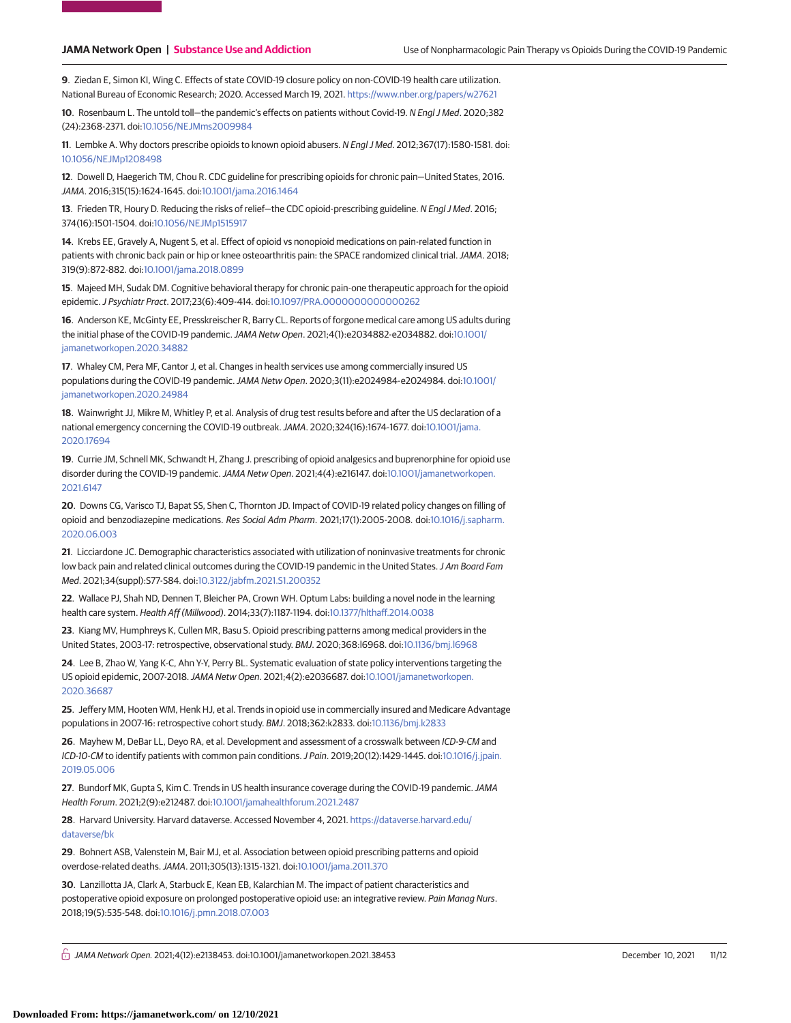**9**. Ziedan E, Simon KI, Wing C. Effects of state COVID-19 closure policy on non-COVID-19 health care utilization. National Bureau of Economic Research; 2020. Accessed March 19, 2021. <https://www.nber.org/papers/w27621>

**10**. Rosenbaum L. The untold toll—the pandemic's effects on patients without Covid-19. N Engl J Med. 2020;382 (24):2368-2371. doi[:10.1056/NEJMms2009984](https://dx.doi.org/10.1056/NEJMms2009984)

**11**. Lembke A. Why doctors prescribe opioids to known opioid abusers. N Engl J Med. 2012;367(17):1580-1581. doi: [10.1056/NEJMp1208498](https://dx.doi.org/10.1056/NEJMp1208498)

**12**. Dowell D, Haegerich TM, Chou R. CDC guideline for prescribing opioids for chronic pain—United States, 2016. JAMA. 2016;315(15):1624-1645. doi[:10.1001/jama.2016.1464](https://jama.jamanetwork.com/article.aspx?doi=10.1001/jama.2016.1464&utm_campaign=articlePDF%26utm_medium=articlePDFlink%26utm_source=articlePDF%26utm_content=jamanetworkopen.2021.38453)

**13**. Frieden TR, Houry D. Reducing the risks of relief—the CDC opioid-prescribing guideline. N Engl J Med. 2016; 374(16):1501-1504. doi[:10.1056/NEJMp1515917](https://dx.doi.org/10.1056/NEJMp1515917)

**14**. Krebs EE, Gravely A, Nugent S, et al. Effect of opioid vs nonopioid medications on pain-related function in patients with chronic back pain or hip or knee osteoarthritis pain: the SPACE randomized clinical trial. JAMA. 2018; 319(9):872-882. doi[:10.1001/jama.2018.0899](https://jama.jamanetwork.com/article.aspx?doi=10.1001/jama.2018.0899&utm_campaign=articlePDF%26utm_medium=articlePDFlink%26utm_source=articlePDF%26utm_content=jamanetworkopen.2021.38453)

**15**. Majeed MH, Sudak DM. Cognitive behavioral therapy for chronic pain-one therapeutic approach for the opioid epidemic.J Psychiatr Pract. 2017;23(6):409-414. doi[:10.1097/PRA.0000000000000262](https://dx.doi.org/10.1097/PRA.0000000000000262)

**16**. Anderson KE, McGinty EE, Presskreischer R, Barry CL. Reports of forgone medical care among US adults during the initial phase of the COVID-19 pandemic.JAMA Netw Open. 2021;4(1):e2034882-e2034882. doi[:10.1001/](https://jama.jamanetwork.com/article.aspx?doi=10.1001/jamanetworkopen.2020.34882&utm_campaign=articlePDF%26utm_medium=articlePDFlink%26utm_source=articlePDF%26utm_content=jamanetworkopen.2021.38453) [jamanetworkopen.2020.34882](https://jama.jamanetwork.com/article.aspx?doi=10.1001/jamanetworkopen.2020.34882&utm_campaign=articlePDF%26utm_medium=articlePDFlink%26utm_source=articlePDF%26utm_content=jamanetworkopen.2021.38453)

**17**. Whaley CM, Pera MF, Cantor J, et al. Changes in health services use among commercially insured US populations during the COVID-19 pandemic.JAMA Netw Open. 2020;3(11):e2024984-e2024984. doi[:10.1001/](https://jama.jamanetwork.com/article.aspx?doi=10.1001/jamanetworkopen.2020.24984&utm_campaign=articlePDF%26utm_medium=articlePDFlink%26utm_source=articlePDF%26utm_content=jamanetworkopen.2021.38453) [jamanetworkopen.2020.24984](https://jama.jamanetwork.com/article.aspx?doi=10.1001/jamanetworkopen.2020.24984&utm_campaign=articlePDF%26utm_medium=articlePDFlink%26utm_source=articlePDF%26utm_content=jamanetworkopen.2021.38453)

**18**. Wainwright JJ, Mikre M, Whitley P, et al. Analysis of drug test results before and after the US declaration of a national emergency concerning the COVID-19 outbreak.JAMA. 2020;324(16):1674-1677. doi[:10.1001/jama.](https://jama.jamanetwork.com/article.aspx?doi=10.1001/jama.2020.17694&utm_campaign=articlePDF%26utm_medium=articlePDFlink%26utm_source=articlePDF%26utm_content=jamanetworkopen.2021.38453) [2020.17694](https://jama.jamanetwork.com/article.aspx?doi=10.1001/jama.2020.17694&utm_campaign=articlePDF%26utm_medium=articlePDFlink%26utm_source=articlePDF%26utm_content=jamanetworkopen.2021.38453)

**19**. Currie JM, Schnell MK, Schwandt H, Zhang J. prescribing of opioid analgesics and buprenorphine for opioid use disorder during the COVID-19 pandemic. JAMA Netw Open. 2021;4(4):e216147. doi[:10.1001/jamanetworkopen.](https://jama.jamanetwork.com/article.aspx?doi=10.1001/jamanetworkopen.2021.6147&utm_campaign=articlePDF%26utm_medium=articlePDFlink%26utm_source=articlePDF%26utm_content=jamanetworkopen.2021.38453) [2021.6147](https://jama.jamanetwork.com/article.aspx?doi=10.1001/jamanetworkopen.2021.6147&utm_campaign=articlePDF%26utm_medium=articlePDFlink%26utm_source=articlePDF%26utm_content=jamanetworkopen.2021.38453)

**20**. Downs CG, Varisco TJ, Bapat SS, Shen C, Thornton JD. Impact of COVID-19 related policy changes on filling of opioid and benzodiazepine medications. Res Social Adm Pharm. 2021;17(1):2005-2008. doi[:10.1016/j.sapharm.](https://dx.doi.org/10.1016/j.sapharm.2020.06.003) [2020.06.003](https://dx.doi.org/10.1016/j.sapharm.2020.06.003)

**21**. Licciardone JC. Demographic characteristics associated with utilization of noninvasive treatments for chronic low back pain and related clinical outcomes during the COVID-19 pandemic in the United States. J Am Board Fam Med. 2021;34(suppl):S77-S84. doi[:10.3122/jabfm.2021.S1.200352](https://dx.doi.org/10.3122/jabfm.2021.S1.200352)

**22**. Wallace PJ, Shah ND, Dennen T, Bleicher PA, Crown WH. Optum Labs: building a novel node in the learning health care system. Health Aff (Millwood). 2014;33(7):1187-1194. doi[:10.1377/hlthaff.2014.0038](https://dx.doi.org/10.1377/hlthaff.2014.0038)

**23**. Kiang MV, Humphreys K, Cullen MR, Basu S. Opioid prescribing patterns among medical providers in the United States, 2003-17: retrospective, observational study. BMJ. 2020;368:l6968. doi[:10.1136/bmj.l6968](https://dx.doi.org/10.1136/bmj.l6968)

**24**. Lee B, Zhao W, Yang K-C, Ahn Y-Y, Perry BL. Systematic evaluation of state policy interventions targeting the US opioid epidemic, 2007-2018.JAMA Netw Open. 2021;4(2):e2036687. doi[:10.1001/jamanetworkopen.](https://jama.jamanetwork.com/article.aspx?doi=10.1001/jamanetworkopen.2020.36687&utm_campaign=articlePDF%26utm_medium=articlePDFlink%26utm_source=articlePDF%26utm_content=jamanetworkopen.2021.38453) [2020.36687](https://jama.jamanetwork.com/article.aspx?doi=10.1001/jamanetworkopen.2020.36687&utm_campaign=articlePDF%26utm_medium=articlePDFlink%26utm_source=articlePDF%26utm_content=jamanetworkopen.2021.38453)

**25**. Jeffery MM, Hooten WM, Henk HJ, et al. Trends in opioid use in commercially insured and Medicare Advantage populations in 2007-16: retrospective cohort study. BMJ. 2018;362:k2833. doi[:10.1136/bmj.k2833](https://dx.doi.org/10.1136/bmj.k2833)

**26**. Mayhew M, DeBar LL, Deyo RA, et al. Development and assessment of a crosswalk between ICD-9-CM and ICD-10-CM to identify patients with common pain conditions.J Pain. 2019;20(12):1429-1445. doi[:10.1016/j.jpain.](https://dx.doi.org/10.1016/j.jpain.2019.05.006) [2019.05.006](https://dx.doi.org/10.1016/j.jpain.2019.05.006)

**27**. Bundorf MK, Gupta S, Kim C. Trends in US health insurance coverage during the COVID-19 pandemic.JAMA Health Forum. 2021;2(9):e212487. doi[:10.1001/jamahealthforum.2021.2487](https://jama.jamanetwork.com/article.aspx?doi=10.1001/jamahealthforum.2021.2487&utm_campaign=articlePDF%26utm_medium=articlePDFlink%26utm_source=articlePDF%26utm_content=jamanetworkopen.2021.38453)

**28**. Harvard University. Harvard dataverse. Accessed November 4, 2021. [https://dataverse.harvard.edu/](https://dataverse.harvard.edu/dataverse/bk) [dataverse/bk](https://dataverse.harvard.edu/dataverse/bk)

**29**. Bohnert ASB, Valenstein M, Bair MJ, et al. Association between opioid prescribing patterns and opioid overdose-related deaths.JAMA. 2011;305(13):1315-1321. doi[:10.1001/jama.2011.370](https://jama.jamanetwork.com/article.aspx?doi=10.1001/jama.2011.370&utm_campaign=articlePDF%26utm_medium=articlePDFlink%26utm_source=articlePDF%26utm_content=jamanetworkopen.2021.38453)

**30**. Lanzillotta JA, Clark A, Starbuck E, Kean EB, Kalarchian M. The impact of patient characteristics and postoperative opioid exposure on prolonged postoperative opioid use: an integrative review. Pain Manag Nurs. 2018;19(5):535-548. doi[:10.1016/j.pmn.2018.07.003](https://dx.doi.org/10.1016/j.pmn.2018.07.003)

 $\bigcap$  JAMA Network Open. 2021;4(12):e2138453. doi:10.1001/jamanetworkopen.2021.38453 (Reprinted) December 10, 2021 11/12